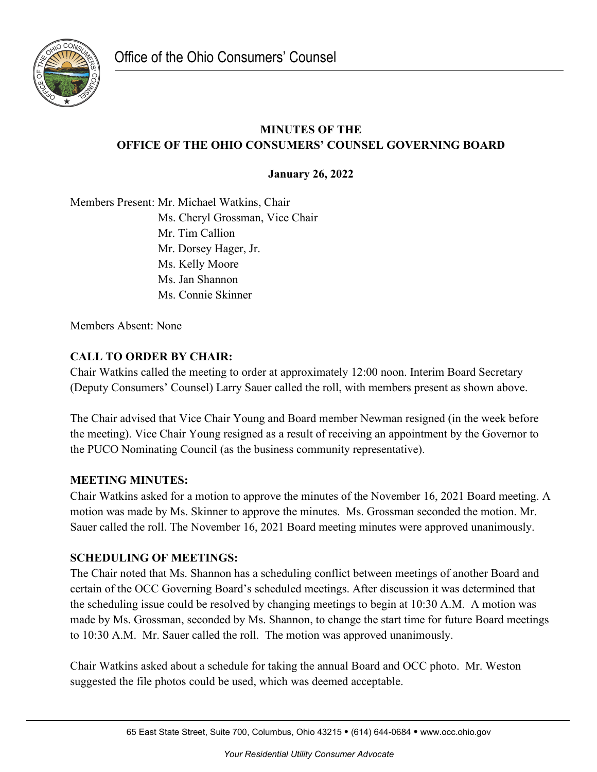

# **MINUTES OF THE OFFICE OF THE OHIO CONSUMERS' COUNSEL GOVERNING BOARD**

**January 26, 2022**

Members Present: Mr. Michael Watkins, Chair Ms. Cheryl Grossman, Vice Chair Mr. Tim Callion Mr. Dorsey Hager, Jr. Ms. Kelly Moore Ms. Jan Shannon Ms. Connie Skinner

Members Absent: None

# **CALL TO ORDER BY CHAIR:**

Chair Watkins called the meeting to order at approximately 12:00 noon. Interim Board Secretary (Deputy Consumers' Counsel) Larry Sauer called the roll, with members present as shown above.

The Chair advised that Vice Chair Young and Board member Newman resigned (in the week before the meeting). Vice Chair Young resigned as a result of receiving an appointment by the Governor to the PUCO Nominating Council (as the business community representative).

## **MEETING MINUTES:**

Chair Watkins asked for a motion to approve the minutes of the November 16, 2021 Board meeting. A motion was made by Ms. Skinner to approve the minutes. Ms. Grossman seconded the motion. Mr. Sauer called the roll. The November 16, 2021 Board meeting minutes were approved unanimously.

## **SCHEDULING OF MEETINGS:**

The Chair noted that Ms. Shannon has a scheduling conflict between meetings of another Board and certain of the OCC Governing Board's scheduled meetings. After discussion it was determined that the scheduling issue could be resolved by changing meetings to begin at 10:30 A.M. A motion was made by Ms. Grossman, seconded by Ms. Shannon, to change the start time for future Board meetings to 10:30 A.M. Mr. Sauer called the roll. The motion was approved unanimously.

Chair Watkins asked about a schedule for taking the annual Board and OCC photo. Mr. Weston suggested the file photos could be used, which was deemed acceptable.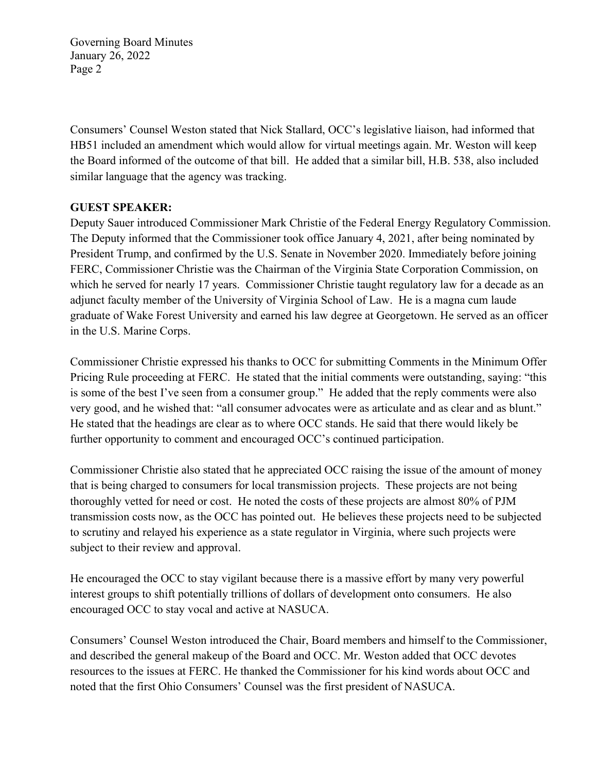Consumers' Counsel Weston stated that Nick Stallard, OCC's legislative liaison, had informed that HB51 included an amendment which would allow for virtual meetings again. Mr. Weston will keep the Board informed of the outcome of that bill. He added that a similar bill, H.B. 538, also included similar language that the agency was tracking.

## **GUEST SPEAKER:**

Deputy Sauer introduced Commissioner Mark Christie of the Federal Energy Regulatory Commission. The Deputy informed that the Commissioner took office January 4, 2021, after being nominated by President Trump, and confirmed by the U.S. Senate in November 2020. Immediately before joining FERC, Commissioner Christie was the Chairman of the Virginia State Corporation Commission, on which he served for nearly 17 years. Commissioner Christie taught regulatory law for a decade as an adjunct faculty member of the University of Virginia School of Law. He is a magna cum laude graduate of Wake Forest University and earned his law degree at Georgetown. He served as an officer in the U.S. Marine Corps.

Commissioner Christie expressed his thanks to OCC for submitting Comments in the Minimum Offer Pricing Rule proceeding at FERC. He stated that the initial comments were outstanding, saying: "this is some of the best I've seen from a consumer group." He added that the reply comments were also very good, and he wished that: "all consumer advocates were as articulate and as clear and as blunt." He stated that the headings are clear as to where OCC stands. He said that there would likely be further opportunity to comment and encouraged OCC's continued participation.

Commissioner Christie also stated that he appreciated OCC raising the issue of the amount of money that is being charged to consumers for local transmission projects. These projects are not being thoroughly vetted for need or cost. He noted the costs of these projects are almost 80% of PJM transmission costs now, as the OCC has pointed out. He believes these projects need to be subjected to scrutiny and relayed his experience as a state regulator in Virginia, where such projects were subject to their review and approval.

He encouraged the OCC to stay vigilant because there is a massive effort by many very powerful interest groups to shift potentially trillions of dollars of development onto consumers. He also encouraged OCC to stay vocal and active at NASUCA.

Consumers' Counsel Weston introduced the Chair, Board members and himself to the Commissioner, and described the general makeup of the Board and OCC. Mr. Weston added that OCC devotes resources to the issues at FERC. He thanked the Commissioner for his kind words about OCC and noted that the first Ohio Consumers' Counsel was the first president of NASUCA.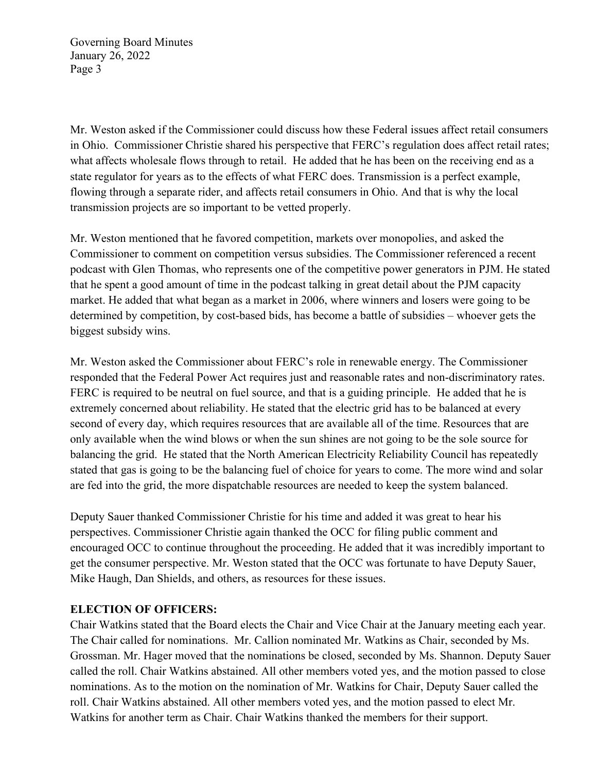Mr. Weston asked if the Commissioner could discuss how these Federal issues affect retail consumers in Ohio. Commissioner Christie shared his perspective that FERC's regulation does affect retail rates; what affects wholesale flows through to retail. He added that he has been on the receiving end as a state regulator for years as to the effects of what FERC does. Transmission is a perfect example, flowing through a separate rider, and affects retail consumers in Ohio. And that is why the local transmission projects are so important to be vetted properly.

Mr. Weston mentioned that he favored competition, markets over monopolies, and asked the Commissioner to comment on competition versus subsidies. The Commissioner referenced a recent podcast with Glen Thomas, who represents one of the competitive power generators in PJM. He stated that he spent a good amount of time in the podcast talking in great detail about the PJM capacity market. He added that what began as a market in 2006, where winners and losers were going to be determined by competition, by cost-based bids, has become a battle of subsidies – whoever gets the biggest subsidy wins.

Mr. Weston asked the Commissioner about FERC's role in renewable energy. The Commissioner responded that the Federal Power Act requires just and reasonable rates and non-discriminatory rates. FERC is required to be neutral on fuel source, and that is a guiding principle. He added that he is extremely concerned about reliability. He stated that the electric grid has to be balanced at every second of every day, which requires resources that are available all of the time. Resources that are only available when the wind blows or when the sun shines are not going to be the sole source for balancing the grid. He stated that the North American Electricity Reliability Council has repeatedly stated that gas is going to be the balancing fuel of choice for years to come. The more wind and solar are fed into the grid, the more dispatchable resources are needed to keep the system balanced.

Deputy Sauer thanked Commissioner Christie for his time and added it was great to hear his perspectives. Commissioner Christie again thanked the OCC for filing public comment and encouraged OCC to continue throughout the proceeding. He added that it was incredibly important to get the consumer perspective. Mr. Weston stated that the OCC was fortunate to have Deputy Sauer, Mike Haugh, Dan Shields, and others, as resources for these issues.

### **ELECTION OF OFFICERS:**

Chair Watkins stated that the Board elects the Chair and Vice Chair at the January meeting each year. The Chair called for nominations. Mr. Callion nominated Mr. Watkins as Chair, seconded by Ms. Grossman. Mr. Hager moved that the nominations be closed, seconded by Ms. Shannon. Deputy Sauer called the roll. Chair Watkins abstained. All other members voted yes, and the motion passed to close nominations. As to the motion on the nomination of Mr. Watkins for Chair, Deputy Sauer called the roll. Chair Watkins abstained. All other members voted yes, and the motion passed to elect Mr. Watkins for another term as Chair. Chair Watkins thanked the members for their support.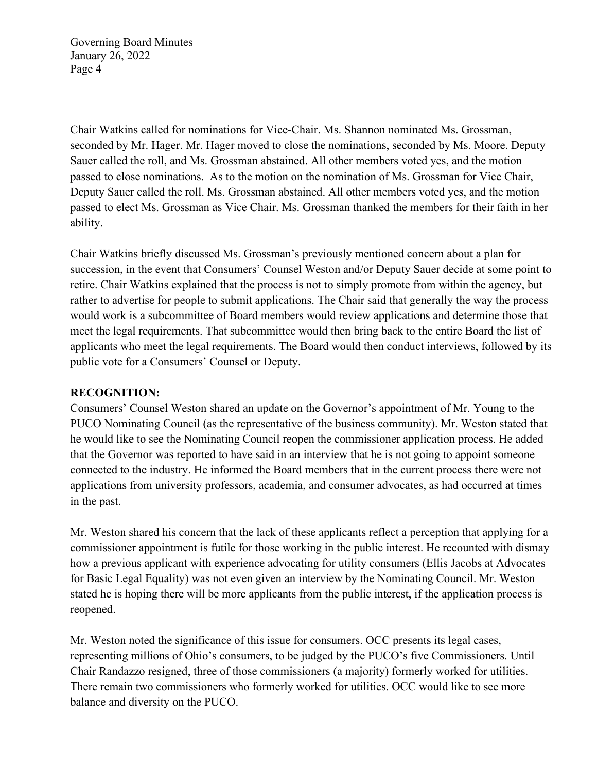Chair Watkins called for nominations for Vice-Chair. Ms. Shannon nominated Ms. Grossman, seconded by Mr. Hager. Mr. Hager moved to close the nominations, seconded by Ms. Moore. Deputy Sauer called the roll, and Ms. Grossman abstained. All other members voted yes, and the motion passed to close nominations. As to the motion on the nomination of Ms. Grossman for Vice Chair, Deputy Sauer called the roll. Ms. Grossman abstained. All other members voted yes, and the motion passed to elect Ms. Grossman as Vice Chair. Ms. Grossman thanked the members for their faith in her ability.

Chair Watkins briefly discussed Ms. Grossman's previously mentioned concern about a plan for succession, in the event that Consumers' Counsel Weston and/or Deputy Sauer decide at some point to retire. Chair Watkins explained that the process is not to simply promote from within the agency, but rather to advertise for people to submit applications. The Chair said that generally the way the process would work is a subcommittee of Board members would review applications and determine those that meet the legal requirements. That subcommittee would then bring back to the entire Board the list of applicants who meet the legal requirements. The Board would then conduct interviews, followed by its public vote for a Consumers' Counsel or Deputy.

### **RECOGNITION:**

Consumers' Counsel Weston shared an update on the Governor's appointment of Mr. Young to the PUCO Nominating Council (as the representative of the business community). Mr. Weston stated that he would like to see the Nominating Council reopen the commissioner application process. He added that the Governor was reported to have said in an interview that he is not going to appoint someone connected to the industry. He informed the Board members that in the current process there were not applications from university professors, academia, and consumer advocates, as had occurred at times in the past.

Mr. Weston shared his concern that the lack of these applicants reflect a perception that applying for a commissioner appointment is futile for those working in the public interest. He recounted with dismay how a previous applicant with experience advocating for utility consumers (Ellis Jacobs at Advocates for Basic Legal Equality) was not even given an interview by the Nominating Council. Mr. Weston stated he is hoping there will be more applicants from the public interest, if the application process is reopened.

Mr. Weston noted the significance of this issue for consumers. OCC presents its legal cases, representing millions of Ohio's consumers, to be judged by the PUCO's five Commissioners. Until Chair Randazzo resigned, three of those commissioners (a majority) formerly worked for utilities. There remain two commissioners who formerly worked for utilities. OCC would like to see more balance and diversity on the PUCO.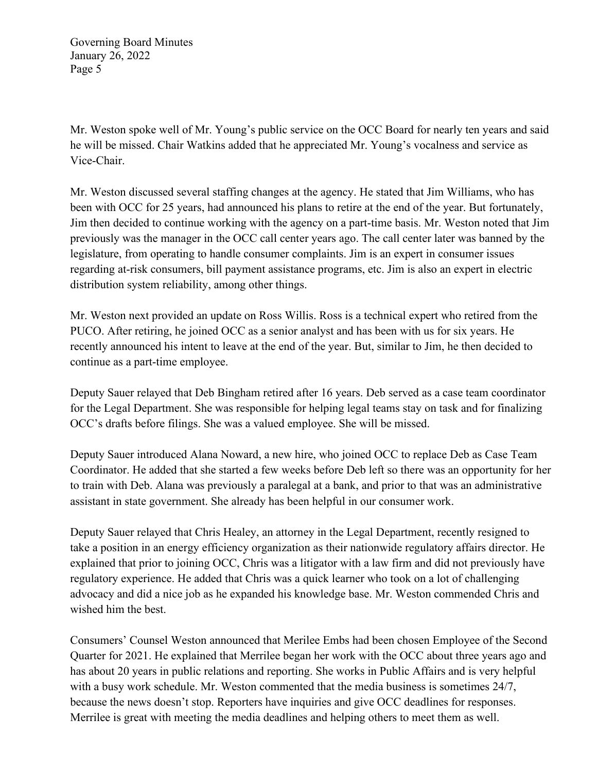Mr. Weston spoke well of Mr. Young's public service on the OCC Board for nearly ten years and said he will be missed. Chair Watkins added that he appreciated Mr. Young's vocalness and service as Vice-Chair.

Mr. Weston discussed several staffing changes at the agency. He stated that Jim Williams, who has been with OCC for 25 years, had announced his plans to retire at the end of the year. But fortunately, Jim then decided to continue working with the agency on a part-time basis. Mr. Weston noted that Jim previously was the manager in the OCC call center years ago. The call center later was banned by the legislature, from operating to handle consumer complaints. Jim is an expert in consumer issues regarding at-risk consumers, bill payment assistance programs, etc. Jim is also an expert in electric distribution system reliability, among other things.

Mr. Weston next provided an update on Ross Willis. Ross is a technical expert who retired from the PUCO. After retiring, he joined OCC as a senior analyst and has been with us for six years. He recently announced his intent to leave at the end of the year. But, similar to Jim, he then decided to continue as a part-time employee.

Deputy Sauer relayed that Deb Bingham retired after 16 years. Deb served as a case team coordinator for the Legal Department. She was responsible for helping legal teams stay on task and for finalizing OCC's drafts before filings. She was a valued employee. She will be missed.

Deputy Sauer introduced Alana Noward, a new hire, who joined OCC to replace Deb as Case Team Coordinator. He added that she started a few weeks before Deb left so there was an opportunity for her to train with Deb. Alana was previously a paralegal at a bank, and prior to that was an administrative assistant in state government. She already has been helpful in our consumer work.

Deputy Sauer relayed that Chris Healey, an attorney in the Legal Department, recently resigned to take a position in an energy efficiency organization as their nationwide regulatory affairs director. He explained that prior to joining OCC, Chris was a litigator with a law firm and did not previously have regulatory experience. He added that Chris was a quick learner who took on a lot of challenging advocacy and did a nice job as he expanded his knowledge base. Mr. Weston commended Chris and wished him the best.

Consumers' Counsel Weston announced that Merilee Embs had been chosen Employee of the Second Quarter for 2021. He explained that Merrilee began her work with the OCC about three years ago and has about 20 years in public relations and reporting. She works in Public Affairs and is very helpful with a busy work schedule. Mr. Weston commented that the media business is sometimes 24/7, because the news doesn't stop. Reporters have inquiries and give OCC deadlines for responses. Merrilee is great with meeting the media deadlines and helping others to meet them as well.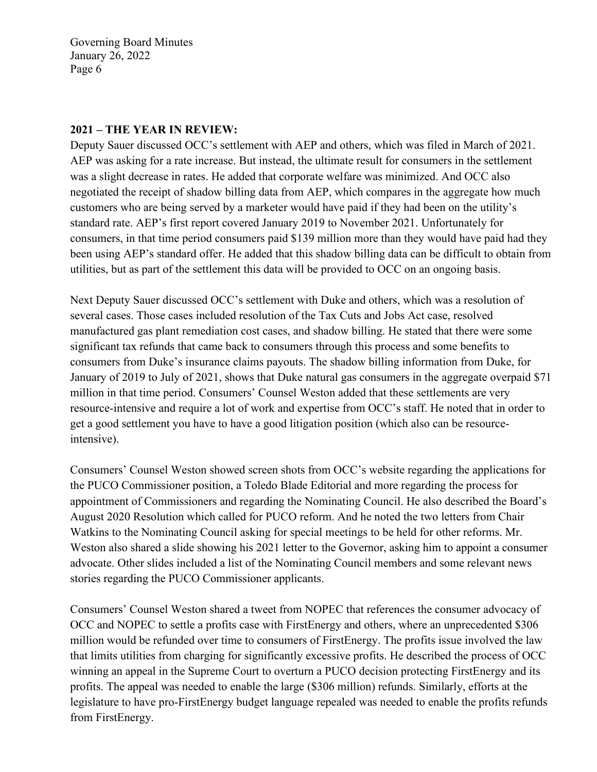#### **2021 – THE YEAR IN REVIEW:**

Deputy Sauer discussed OCC's settlement with AEP and others, which was filed in March of 2021. AEP was asking for a rate increase. But instead, the ultimate result for consumers in the settlement was a slight decrease in rates. He added that corporate welfare was minimized. And OCC also negotiated the receipt of shadow billing data from AEP, which compares in the aggregate how much customers who are being served by a marketer would have paid if they had been on the utility's standard rate. AEP's first report covered January 2019 to November 2021. Unfortunately for consumers, in that time period consumers paid \$139 million more than they would have paid had they been using AEP's standard offer. He added that this shadow billing data can be difficult to obtain from utilities, but as part of the settlement this data will be provided to OCC on an ongoing basis.

Next Deputy Sauer discussed OCC's settlement with Duke and others, which was a resolution of several cases. Those cases included resolution of the Tax Cuts and Jobs Act case, resolved manufactured gas plant remediation cost cases, and shadow billing. He stated that there were some significant tax refunds that came back to consumers through this process and some benefits to consumers from Duke's insurance claims payouts. The shadow billing information from Duke, for January of 2019 to July of 2021, shows that Duke natural gas consumers in the aggregate overpaid \$71 million in that time period. Consumers' Counsel Weston added that these settlements are very resource-intensive and require a lot of work and expertise from OCC's staff. He noted that in order to get a good settlement you have to have a good litigation position (which also can be resourceintensive).

Consumers' Counsel Weston showed screen shots from OCC's website regarding the applications for the PUCO Commissioner position, a Toledo Blade Editorial and more regarding the process for appointment of Commissioners and regarding the Nominating Council. He also described the Board's August 2020 Resolution which called for PUCO reform. And he noted the two letters from Chair Watkins to the Nominating Council asking for special meetings to be held for other reforms. Mr. Weston also shared a slide showing his 2021 letter to the Governor, asking him to appoint a consumer advocate. Other slides included a list of the Nominating Council members and some relevant news stories regarding the PUCO Commissioner applicants.

Consumers' Counsel Weston shared a tweet from NOPEC that references the consumer advocacy of OCC and NOPEC to settle a profits case with FirstEnergy and others, where an unprecedented \$306 million would be refunded over time to consumers of FirstEnergy. The profits issue involved the law that limits utilities from charging for significantly excessive profits. He described the process of OCC winning an appeal in the Supreme Court to overturn a PUCO decision protecting FirstEnergy and its profits. The appeal was needed to enable the large (\$306 million) refunds. Similarly, efforts at the legislature to have pro-FirstEnergy budget language repealed was needed to enable the profits refunds from FirstEnergy.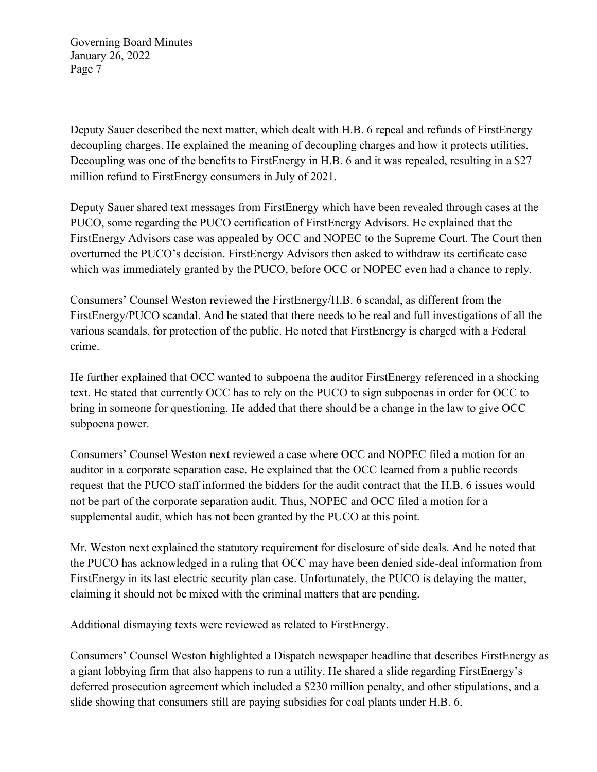Deputy Sauer described the next matter, which dealt with H.B. 6 repeal and refunds of FirstEnergy decoupling charges. He explained the meaning of decoupling charges and how it protects utilities. Decoupling was one of the benefits to FirstEnergy in H.B. 6 and it was repealed, resulting in a \$27 million refund to FirstEnergy consumers in July of 2021.

Deputy Sauer shared text messages from FirstEnergy which have been revealed through cases at the PUCO, some regarding the PUCO certification of FirstEnergy Advisors. He explained that the FirstEnergy Advisors case was appealed by OCC and NOPEC to the Supreme Court. The Court then overturned the PUCO's decision. FirstEnergy Advisors then asked to withdraw its certificate case which was immediately granted by the PUCO, before OCC or NOPEC even had a chance to reply.

Consumers' Counsel Weston reviewed the FirstEnergy/H.B. 6 scandal, as different from the FirstEnergy/PUCO scandal. And he stated that there needs to be real and full investigations of all the various scandals, for protection of the public. He noted that FirstEnergy is charged with a Federal crime.

He further explained that OCC wanted to subpoena the auditor FirstEnergy referenced in a shocking text. He stated that currently OCC has to rely on the PUCO to sign subpoenas in order for OCC to bring in someone for questioning. He added that there should be a change in the law to give OCC subpoena power.

Consumers' Counsel Weston next reviewed a case where OCC and NOPEC filed a motion for an auditor in a corporate separation case. He explained that the OCC learned from a public records request that the PUCO staff informed the bidders for the audit contract that the H.B. 6 issues would not be part of the corporate separation audit. Thus, NOPEC and OCC filed a motion for a supplemental audit, which has not been granted by the PUCO at this point.

Mr. Weston next explained the statutory requirement for disclosure of side deals. And he noted that the PUCO has acknowledged in a ruling that OCC may have been denied side-deal information from FirstEnergy in its last electric security plan case. Unfortunately, the PUCO is delaying the matter, claiming it should not be mixed with the criminal matters that are pending.

Additional dismaying texts were reviewed as related to FirstEnergy.

Consumers' Counsel Weston highlighted a Dispatch newspaper headline that describes FirstEnergy as a giant lobbying firm that also happens to run a utility. He shared a slide regarding FirstEnergy's deferred prosecution agreement which included a \$230 million penalty, and other stipulations, and a slide showing that consumers still are paying subsidies for coal plants under H.B. 6.